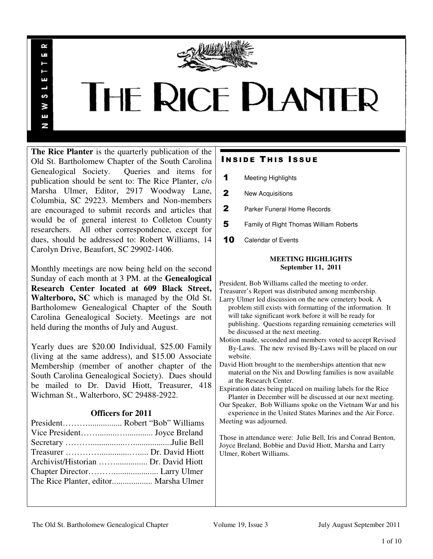

# **THE RICE PLANTER**

**The Rice Planter** is the quarterly publication of the Old St. Bartholomew Chapter of the South Carolina Genealogical Society. Queries and items for publication should be sent to: The Rice Planter, c/o Marsha Ulmer, Editor, 2917 Woodway Lane, Columbia, SC 29223. Members and Non-members are encouraged to submit records and articles that would be of general interest to Colleton County researchers. All other correspondence, except for dues, should be addressed to: Robert Williams, 14 Carolyn Drive, Beaufort, SC 29902-1406.

 $\sim$ uń

ш

S š E N

Monthly meetings are now being held on the second Sunday of each month at 3 PM. at the **Genealogical Research Center located at 609 Black Street, Walterboro, SC** which is managed by the Old St. Bartholomew Genealogical Chapter of the South Carolina Genealogical Society. Meetings are not held during the months of July and August.

Yearly dues are \$20.00 Individual, \$25.00 Family (living at the same address), and \$15.00 Associate Membership (member of another chapter of the South Carolina Genealogical Society). Dues should be mailed to Dr. David Hiott, Treasurer, 418 Wichman St., Walterboro, SC 29488-2922.

## **Officers for 2011**

| Archivist/Historian  Dr. David Hiott |  |
|--------------------------------------|--|
|                                      |  |
|                                      |  |
|                                      |  |

# **INSIDE THIS ISSUE**

- 1 Meeting Highlights
- 2 New Acquisitions
- 2 Parker Funeral Home Records
- 5 Family of Right Thomas William Roberts
- 10 Calendar of Events

### **MEETING HIGHLIGHTS September 11, 2011**

President, Bob Williams called the meeting to order.

- Treasurer's Report was distributed among membership. Larry Ulmer led discussion on the new cemetery book. A problem still exists with formatting of the information. It will take significant work before it will be ready for publishing. Questions regarding remaining cemeteries will be discussed at the next meeting.
- Motion made, seconded and members voted to accept Revised By-Laws. The new revised By-Laws will be placed on our website.
- David Hiott brought to the memberships attention that new material on the Nix and Dowling families is now available at the Research Center.
- Expiration dates being placed on mailing labels for the Rice Planter in December will be discussed at our next meeting.
- Our Speaker, Bob Williams spoke on the Vietnam War and his experience in the United States Marines and the Air Force. Meeting was adjourned.

Those in attendance were: Julie Bell, Iris and Conrad Benton, Joyce Breland, Bobbie and David Hiott, Marsha and Larry Ulmer, Robert Williams.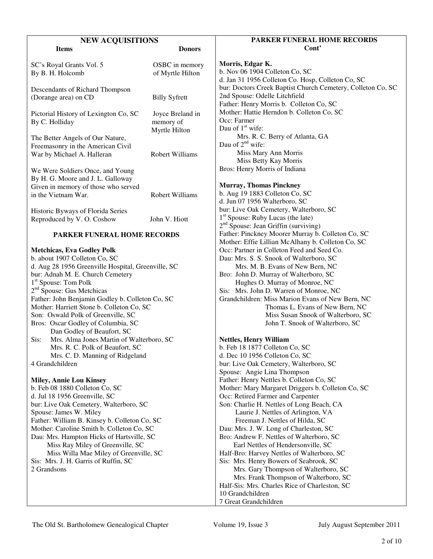| <b>NEW ACQUISITIONS</b>                                                                                                                                                                                                                                                                                                                                                                                                                                                                                                                                                                                                                                                                                                                                                   |                                                | PARKER FUNERAL HOME RECORDS                                                                                                                                                                                                                                                                                                                                                                                                                                                                                                                                                                                                                                                                                                                                                                                                                                                |
|---------------------------------------------------------------------------------------------------------------------------------------------------------------------------------------------------------------------------------------------------------------------------------------------------------------------------------------------------------------------------------------------------------------------------------------------------------------------------------------------------------------------------------------------------------------------------------------------------------------------------------------------------------------------------------------------------------------------------------------------------------------------------|------------------------------------------------|----------------------------------------------------------------------------------------------------------------------------------------------------------------------------------------------------------------------------------------------------------------------------------------------------------------------------------------------------------------------------------------------------------------------------------------------------------------------------------------------------------------------------------------------------------------------------------------------------------------------------------------------------------------------------------------------------------------------------------------------------------------------------------------------------------------------------------------------------------------------------|
| <b>Items</b>                                                                                                                                                                                                                                                                                                                                                                                                                                                                                                                                                                                                                                                                                                                                                              | <b>Donors</b>                                  | Cont'                                                                                                                                                                                                                                                                                                                                                                                                                                                                                                                                                                                                                                                                                                                                                                                                                                                                      |
| SC's Royal Grants Vol. 5<br>By B. H. Holcomb                                                                                                                                                                                                                                                                                                                                                                                                                                                                                                                                                                                                                                                                                                                              | OSBC in memory<br>of Myrtle Hilton             | Morris, Edgar K.<br>b. Nov 06 1904 Colleton Co, SC<br>d. Jan 31 1956 Colleton Co. Hosp, Colleton Co, SC                                                                                                                                                                                                                                                                                                                                                                                                                                                                                                                                                                                                                                                                                                                                                                    |
| Descendants of Richard Thompson<br>(Dorange area) on CD                                                                                                                                                                                                                                                                                                                                                                                                                                                                                                                                                                                                                                                                                                                   | <b>Billy Syfrett</b>                           | bur: Doctors Creek Baptist Church Cemetery, Colleton Co, SC<br>2nd Spouse: Odelle Litchfield<br>Father: Henry Morris b. Colleton Co, SC                                                                                                                                                                                                                                                                                                                                                                                                                                                                                                                                                                                                                                                                                                                                    |
| Pictorial History of Lexington Co, SC<br>By C. Holliday                                                                                                                                                                                                                                                                                                                                                                                                                                                                                                                                                                                                                                                                                                                   | Joyce Breland in<br>memory of<br>Myrtle Hilton | Mother: Hattie Herndon b. Colleton Co, SC<br>Occ: Farmer<br>Dau of $1st$ wife:                                                                                                                                                                                                                                                                                                                                                                                                                                                                                                                                                                                                                                                                                                                                                                                             |
| The Better Angels of Our Nature,<br>Freemasonry in the American Civil<br>War by Michael A. Halleran                                                                                                                                                                                                                                                                                                                                                                                                                                                                                                                                                                                                                                                                       | Robert Williams                                | Mrs. R. C. Berry of Atlanta, GA<br>Dau of $2nd$ wife:<br>Miss Mary Ann Morris                                                                                                                                                                                                                                                                                                                                                                                                                                                                                                                                                                                                                                                                                                                                                                                              |
| We Were Soldiers Once, and Young<br>By H. G. Moore and J. L. Galloway                                                                                                                                                                                                                                                                                                                                                                                                                                                                                                                                                                                                                                                                                                     |                                                | Miss Betty Kay Morris<br>Bros: Henry Morris of Indiana                                                                                                                                                                                                                                                                                                                                                                                                                                                                                                                                                                                                                                                                                                                                                                                                                     |
| Given in memory of those who served<br>in the Vietnam War.                                                                                                                                                                                                                                                                                                                                                                                                                                                                                                                                                                                                                                                                                                                | Robert Williams                                | <b>Murray, Thomas Pinckney</b><br>b. Aug 19 1883 Colleton Co, SC<br>d. Jun 07 1956 Walterboro, SC                                                                                                                                                                                                                                                                                                                                                                                                                                                                                                                                                                                                                                                                                                                                                                          |
| Historic Byways of Florida Series<br>Reproduced by V. O. Coshow                                                                                                                                                                                                                                                                                                                                                                                                                                                                                                                                                                                                                                                                                                           | John V. Hiott                                  | bur: Live Oak Cemetery, Walterboro, SC<br>$1st$ Spouse: Ruby Lucas (the late)<br>$2nd$ Spouse: Jean Griffin (surviving)                                                                                                                                                                                                                                                                                                                                                                                                                                                                                                                                                                                                                                                                                                                                                    |
| <b>PARKER FUNERAL HOME RECORDS</b>                                                                                                                                                                                                                                                                                                                                                                                                                                                                                                                                                                                                                                                                                                                                        |                                                | Father: Pinckney Moorer Murray b. Colleton Co, SC                                                                                                                                                                                                                                                                                                                                                                                                                                                                                                                                                                                                                                                                                                                                                                                                                          |
| <b>Metchicas, Eva Godley Polk</b><br>b. about 1907 Colleton Co, SC<br>d. Aug 28 1956 Greenville Hospital, Greenville, SC<br>bur: Adnah M. E. Church Cemetery<br>1 <sup>st</sup> Spouse: Tom Polk<br>2 <sup>nd</sup> Spouse: Gus Metchicas<br>Father: John Benjamin Godley b. Colleton Co, SC<br>Mother: Harriett Stone b. Colleton Co, SC<br>Son: Oswald Polk of Greenville, SC<br>Bros: Oscar Godley of Columbia, SC<br>Dan Godley of Beaufort, SC<br>Mrs. Alma Jones Martin of Walterboro, SC<br>Sis:<br>Mrs. R. C. Polk of Beaufort, SC<br>Mrs. C. D. Manning of Ridgeland<br>4 Grandchildren<br><b>Miley, Annie Lou Kinsey</b><br>b. Feb 08 1880 Colleton Co, SC<br>d. Jul 18 1956 Greenville, SC<br>bur: Live Oak Cemetery, Walterboro, SC<br>Spouse: James W. Miley |                                                | Mother: Effie Lillian McAlhany b. Colleton Co, SC<br>Occ: Partner in Colleton Feed and Seed Co.<br>Dau: Mrs. S. S. Snook of Walterboro, SC<br>Mrs. M. B. Evans of New Bern, NC<br>Bro: John D. Murray of Walterboro, SC<br>Hughes O. Murray of Monroe, NC<br>Sis: Mrs. John D. Warren of Monroe, NC<br>Grandchildren: Miss Marion Evans of New Bern, NC<br>Thomas L. Evans of New Bern, NC<br>Miss Susan Snook of Walterboro, SC<br>John T. Snook of Walterboro, SC<br><b>Nettles, Henry William</b><br>b. Feb 18 1877 Colleton Co, SC<br>d. Dec 10 1956 Colleton Co, SC<br>bur: Live Oak Cemetery, Walterboro, SC<br>Spouse: Angie Lina Thompson<br>Father: Henry Nettles b. Colleton Co, SC<br>Mother: Mary Margaret Driggers b. Colleton Co, SC<br>Occ: Retired Farmer and Carpenter<br>Son: Charlie H. Nettles of Long Beach, CA<br>Laurie J. Nettles of Arlington, VA |
| Father: William B. Kinsey b. Colleton Co, SC<br>Mother: Caroline Smith b. Colleton Co, SC<br>Dau: Mrs. Hampton Hicks of Hartsville, SC<br>Miss Ray Miley of Greenville, SC<br>Miss Willa Mae Miley of Greenville, SC<br>Sis: Mrs. J. H. Garris of Ruffin, SC<br>2 Grandsons                                                                                                                                                                                                                                                                                                                                                                                                                                                                                               |                                                | Freeman J. Nettles of Hilda, SC<br>Dau: Mrs. J. W. Long of Charleston, SC<br>Bro: Andrew F. Nettles of Walterboro, SC<br>Earl Nettles of Hendersonville, SC<br>Half-Bro: Harvey Nettles of Walterboro, SC<br>Sis: Mrs. Henry Bowers of Seabrook, SC<br>Mrs. Gary Thompson of Walterboro, SC<br>Mrs. Frank Thompson of Walterboro, SC<br>Half-Sis: Mrs. Charles Rice of Charleston, SC<br>10 Grandchildren<br>7 Great Grandchildren                                                                                                                                                                                                                                                                                                                                                                                                                                         |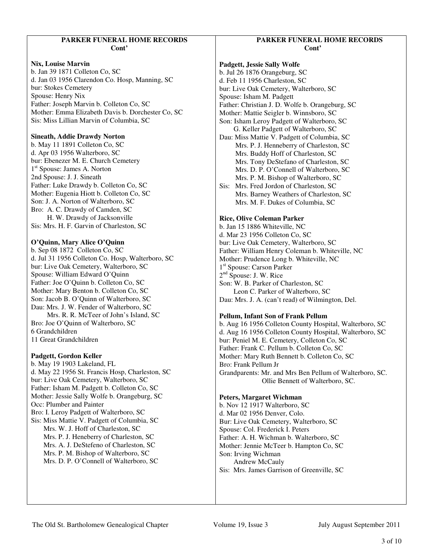## **PARKER FUNERAL HOME RECORDS Cont'**

### **Nix, Louise Marvin**

b. Jan 39 1871 Colleton Co, SC d. Jan 03 1956 Clarendon Co. Hosp, Manning, SC bur: Stokes Cemetery Spouse: Henry Nix Father: Joseph Marvin b. Colleton Co, SC Mother: Emma Elizabeth Davis b. Dorchester Co, SC Sis: Miss Lillian Marvin of Columbia, SC

### **Sineath, Addie Drawdy Norton**

b. May 11 1891 Colleton Co, SC d. Apr 03 1956 Walterboro, SC bur: Ebenezer M. E. Church Cemetery 1 st Spouse: James A. Norton 2nd Spouse: J. J. Sineath Father: Luke Drawdy b. Colleton Co, SC Mother: Eugenia Hiott b. Colleton Co, SC Son: J. A. Norton of Walterboro, SC Bro: A. C. Drawdy of Camden, SC H. W. Drawdy of Jacksonville Sis: Mrs. H. F. Garvin of Charleston, SC

## **O'Quinn, Mary Alice O'Quinn**

b. Sep 08 1872 Colleton Co, SC d. Jul 31 1956 Colleton Co. Hosp, Walterboro, SC bur: Live Oak Cemetery, Walterboro, SC Spouse: William Edward O'Quinn Father: Joe O'Quinn b. Colleton Co, SC Mother: Mary Benton b. Colleton Co, SC Son: Jacob B. O'Quinn of Walterboro, SC Dau: Mrs. J. W. Fender of Walterboro, SC Mrs. R. R. McTeer of John's Island, SC

Bro: Joe O'Quinn of Walterboro, SC 6 Grandchildren 11 Great Grandchildren

## **Padgett, Gordon Keller**

b. May 19 1903 Lakeland, FL d. May 22 1956 St. Francis Hosp, Charleston, SC bur: Live Oak Cemetery, Walterboro, SC Father: Isham M. Padgett b. Colleton Co, SC Mother: Jessie Sally Wolfe b. Orangeburg, SC Occ: Plumber and Painter Bro: I. Leroy Padgett of Walterboro, SC Sis: Miss Mattie V. Padgett of Columbia, SC Mrs. W. J. Hoff of Charleston, SC Mrs. P. J. Heneberry of Charleston, SC Mrs. A. J. DeStefeno of Charleston, SC Mrs. P. M. Bishop of Walterboro, SC Mrs. D. P. O'Connell of Walterboro, SC

## **PARKER FUNERAL HOME RECORDS Cont'**

**Padgett, Jessie Sally Wolfe**  b. Jul 26 1876 Orangeburg, SC d. Feb 11 1956 Charleston, SC bur: Live Oak Cemetery, Walterboro, SC Spouse: Isham M. Padgett Father: Christian J. D. Wolfe b. Orangeburg, SC Mother: Mattie Seigler b. Winnsboro, SC Son: Isham Leroy Padgett of Walterboro, SC G. Keller Padgett of Walterboro, SC Dau: Miss Mattie V. Padgett of Columbia, SC Mrs. P. J. Henneberry of Charleston, SC Mrs. Buddy Hoff of Charleston, SC Mrs. Tony DeStefano of Charleston, SC Mrs. D. P. O'Connell of Walterboro, SC Mrs. P. M. Bishop of Walterboro, SC Sis: Mrs. Fred Jordon of Charleston, SC Mrs. Barney Weathers of Charleston, SC Mrs. M. F. Dukes of Columbia, SC

## **Rice, Olive Coleman Parker**

b. Jan 15 1886 Whiteville, NC d. Mar 23 1956 Colleton Co, SC bur: Live Oak Cemetery, Walterboro, SC Father: William Henry Coleman b. Whiteville, NC Mother: Prudence Long b. Whiteville, NC 1 st Spouse: Carson Parker 2<sup>nd</sup> Spouse: J. W. Rice Son: W. B. Parker of Charleston, SC Leon C. Parker of Walterboro, SC Dau: Mrs. J. A. (can't read) of Wilmington, Del.

## **Pellum, Infant Son of Frank Pellum**

b. Aug 16 1956 Colleton County Hospital, Walterboro, SC d. Aug 16 1956 Colleton County Hospital, Walterboro, SC bur: Peniel M. E. Cemetery, Colleton Co, SC Father: Frank C. Pellum b. Colleton Co, SC Mother: Mary Ruth Bennett b. Colleton Co, SC Bro: Frank Pellum Jr Grandparents: Mr. and Mrs Ben Pellum of Walterboro, SC. Ollie Bennett of Walterboro, SC.

#### **Peters, Margaret Wichman**

b. Nov 12 1917 Walterboro, SC d. Mar 02 1956 Denver, Colo. Bur: Live Oak Cemetery, Walterboro, SC Spouse: Col. Frederick I. Peters Father: A. H. Wichman b. Walterboro, SC Mother: Jennie McTeer b. Hampton Co, SC Son: Irving Wichman Andrew McCauly Sis: Mrs. James Garrison of Greenville, SC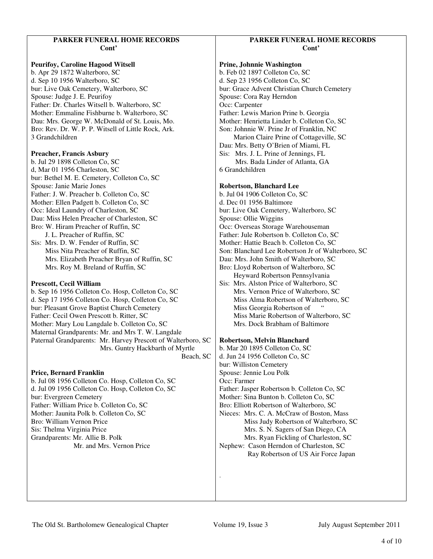## **PARKER FUNERAL HOME RECORDS Cont'**

**Peurifoy, Caroline Hagood Witsell**  b. Apr 29 1872 Walterboro, SC d. Sep 10 1956 Walterboro, SC bur: Live Oak Cemetery, Walterboro, SC Spouse: Judge J. E. Peurifoy Father: Dr. Charles Witsell b. Walterboro, SC Mother: Emmaline Fishburne b. Walterboro, SC Dau: Mrs. George W. McDonald of St. Louis, Mo. Bro: Rev. Dr. W. P. P. Witsell of Little Rock, Ark. 3 Grandchildren

#### **Preacher, Francis Asbury**

b. Jul 29 1898 Colleton Co, SC d, Mar 01 1956 Charleston, SC bur: Bethel M. E. Cemetery, Colleton Co, SC Spouse: Janie Marie Jones Father: J. W. Preacher b. Colleton Co, SC Mother: Ellen Padgett b. Colleton Co, SC Occ: Ideal Laundry of Charleston, SC Dau: Miss Helen Preacher of Charleston, SC Bro: W. Hiram Preacher of Ruffin, SC J. L. Preacher of Ruffin, SC Sis: Mrs. D. W. Fender of Ruffin, SC

 Miss Nita Preacher of Ruffin, SC Mrs. Elizabeth Preacher Bryan of Ruffin, SC Mrs. Roy M. Breland of Ruffin, SC

## **Prescott, Cecil William**

b. Sep 16 1956 Colleton Co. Hosp, Colleton Co, SC d. Sep 17 1956 Colleton Co. Hosp, Colleton Co, SC bur: Pleasant Grove Baptist Church Cemetery Father: Cecil Owen Prescott b. Ritter, SC Mother: Mary Lou Langdale b. Colleton Co, SC Maternal Grandparents: Mr. and Mrs T. W. Langdale Paternal Grandparents: Mr. Harvey Prescott of Walterboro, SC Mrs. Guntry Hackbarth of Myrtle Beach, SC

#### **Price, Bernard Franklin**

b. Jul 08 1956 Colleton Co. Hosp, Colleton Co, SC d. Jul 09 1956 Colleton Co. Hosp, Colleton Co, SC bur: Evergreen Cemetery Father: William Price b. Colleton Co, SC Mother: Jaunita Polk b. Colleton Co, SC Bro: William Vernon Price Sis: Thelma Virginia Price Grandparents: Mr. Allie B. Polk Mr. and Mrs. Vernon Price

## **PARKER FUNERAL HOME RECORDS Cont'**

#### **Prine, Johnnie Washington**

b. Feb 02 1897 Colleton Co, SC d. Sep 23 1956 Colleton Co, SC bur: Grace Advent Christian Church Cemetery Spouse: Cora Ray Herndon Occ: Carpenter Father: Lewis Marion Prine b. Georgia Mother: Henrietta Linder b. Colleton Co, SC Son: Johnnie W. Prine Jr of Franklin, NC Marion Claire Prine of Cottageville, SC Dau: Mrs. Betty O'Brien of Miami, FL Sis: Mrs. J. L. Prine of Jennings, FL Mrs. Bada Linder of Atlanta, GA 6 Grandchildren

### **Robertson, Blanchard Lee**

b. Jul 04 1906 Colleton Co, SC d. Dec 01 1956 Baltimore bur: Live Oak Cemetery, Walterboro, SC Spouse: Ollie Wiggins Occ: Overseas Storage Warehouseman Father: Jule Robertson b. Colleton Co, SC Mother: Hattie Beach b. Colleton Co, SC Son: Blanchard Lee Robertson Jr of Walterboro, SC Dau: Mrs. John Smith of Walterboro, SC Bro: Lloyd Robertson of Walterboro, SC Heyward Robertson Pennsylvania Sis: Mrs. Alston Price of Walterboro, SC Mrs. Vernon Price of Walterboro, SC Miss Alma Robertson of Walterboro, SC Miss Georgia Robertson of " Miss Marie Robertson of Walterboro, SC Mrs. Dock Brabham of Baltimore

#### **Robertson, Melvin Blanchard**

b. Mar 20 1895 Colleton Co, SC d. Jun 24 1956 Colleton Co, SC bur: Williston Cemetery Spouse: Jennie Lou Polk Occ: Farmer Father: Jasper Robertson b. Colleton Co, SC Mother: Sina Bunton b. Colleton Co, SC Bro: Elliott Robertson of Walterboro, SC Nieces: Mrs. C. A. McCraw of Boston, Mass Miss Judy Robertson of Walterboro, SC Mrs. S. N. Sagers of San Diego, CA Mrs. Ryan Fickling of Charleston, SC Nephew: Cason Herndon of Charleston, SC Ray Robertson of US Air Force Japan

.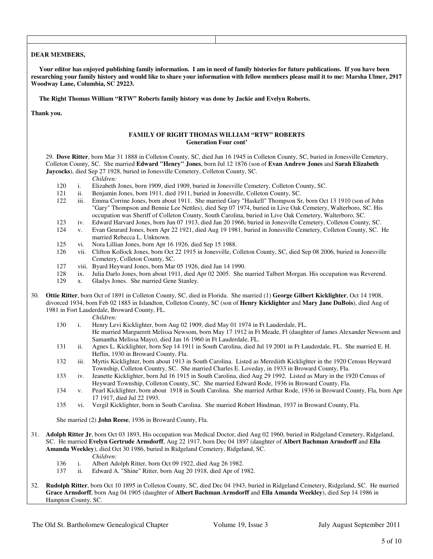#### **DEAR MEMBERS,**

 **Your editor has enjoyed publishing family information. I am in need of family histories for future publications. If you have been researching your family history and would like to share your information with fellow members please mail it to me: Marsha Ulmer, 2917 Woodway Lane, Columbia, SC 29223.** 

 **The Right Thomas William "RTW" Roberts family history was done by Jackie and Evelyn Roberts.** 

**Thank you.** 

#### **FAMILY OF RIGHT THOMAS WILLIAM "RTW" ROBERTS Generation Four cont'**

 29. **Dove Ritter**, born Mar 31 1888 in Colleton County, SC, died Jun 16 1945 in Colleton County, SC, buried in Jonesville Cemetery, Colleton County, SC. She married **Edward "Henry" Jones**, born Jul 12 1876 (son of **Evan Andrew Jones** and **Sarah Elizabeth Jaycocks**), died Sep 27 1928, buried in Jonesville Cemetery, Colleton County, SC.

*Children:*

- 120 i. Elizabeth Jones, born 1909, died 1909, buried in Jonesville Cemetery, Colleton County, SC.<br>121 ii. Beniamin Jones, born 1911, died 1911, buried in Jonesville, Colleton County, SC.
- ii. Benjamin Jones, born 1911, died 1911, buried in Jonesville, Colleton County, SC.
- 122 iii. Emma Corrine Jones, born about 1911. She married Gary "Haskell" Thompson Sr, born Oct 13 1910 (son of John "Gary" Thompson and Bennie Lee Nettles), died Sep 07 1974, buried in Live Oak Cemetery, Walterboro, SC. His occupation was Sheriff of Colleton County, South Carolina, buried in Live Oak Cemetery, Walterboro, SC.
- 123 iv. Edward Harvard Jones, born Jun 07 1913, died Jan 20 1966, buried in Jonesville Cemetery, Colleton County, SC.<br>124 v. Evan Geurard Jones, born Apr 22 1921, died Aug 19 1981, buried in Jonesville Cemetery, Colleton C
- v. Evan Geurard Jones, born Apr 22 1921, died Aug 19 1981, buried in Jonesville Cemetery, Colleton County, SC. He married Rebecca L. Unknown.
- 125 vi. Nora Lillian Jones, born Apr 16 1926, died Sep 15 1988.
- 126 vii. Clifton Kollock Jones, born Oct 22 1915 in Jonesville, Colleton County, SC, died Sep 08 2006, buried in Jonesville Cemetery, Colleton County, SC.
- 127 viii. Byard Heyward Jones, born Mar 05 1926, died Jan 14 1990.
- 128 ix. Julia Darlo Jones, born about 1911, died Apr 02 2005. She married Talbert Morgan. His occupation was Reverend.
- 129 x. Gladys Jones. She married Gene Stanley.
- 30. **Ottie Ritter**, born Oct of 1891 in Colleton County, SC, died in Florida. She married (1) **George Gilbert Kicklighter**, Oct 14 1908, divorced 1934, born Feb 02 1885 in Islandton, Colleton County, SC (son of **Henry Kicklighter** and **Mary Jane DuBois**), died Aug of 1981 in Fort Lauderdale, Broward County, FL.

*Children:*

- 130 i. Henry Levi Kicklighter, born Aug 02 1909, died May 01 1974 in Ft Lauderdale, FL. He married Marguerett Melissa Newsom, born May 17 1912 in Ft Meade, Fl (daughter of James Alexander Newsom and Samantha Melissa Mayo), died Jan 16 1960 in Ft Lauderdale, FL.
- 131 ii. Agnes L. Kicklighter, born Sep 14 1911 in South Carolina, died Jul 19 2001 in Ft Lauderdale, FL. She married E. H. Heflin, 1930 in Broward County, Fla.
- 132 iii. Myrtis Kicklighter, born about 1913 in South Carolina. Listed as Merediith Kicklighter in the 1920 Census Heyward Township, Colleton Country, SC. She married Charles E. Loveday, in 1933 in Broward County, Fla.
- 133 iv. Jeanette Kicklighter, born Jul 16 1915 in South Carolina, died Aug 29 1992. Listed as Mary in the 1920 Census of Heyward Township, Colleton County, SC. She married Edward Rode, 1936 in Broward County, Fla.
- 134 v. Pearl Kicklighter, born about 1918 in South Carolina. She married Arthur Rode, 1936 in Broward County, Fla, born Apr 17 1917, died Jul 22 1993.
- 135 vi. Vergil Kicklighter, born in South Carolina. She married Robert Hindman, 1937 in Broward County, Fla.

She married (2) **John Reese**, 1936 in Broward County, Fla.

- 31. **Adolph Ritter Jr**, born Oct 03 1893, His occupation was Medical Doctor, died Aug 02 1960, buried in Ridgeland Cemetery, Ridgeland, SC. He married **Evelyn Gertrude Arnsdorff**, Aug 22 1917, born Dec 04 1897 (daughter of **Albert Bachman Arnsdorff** and **Ella Amanda Weekley**), died Oct 30 1986, buried in Ridgeland Cemetery, Ridgeland, SC.
	- *Children:*
	- 136 i. Albert Adolph Ritter, born Oct 09 1922, died Aug 26 1982.
	- 137 ii. Edward A. "Shine" Ritter, born Aug 20 1918, died Apr of 1982.
- 32. **Rudolph Ritter**, born Oct 10 1895 in Colleton County, SC, died Dec 04 1943, buried in Ridgeland Cemetery, Ridgeland, SC. He married **Grace Arnsdorff**, born Aug 04 1905 (daughter of **Albert Bachman Arnsdorff** and **Ella Amanda Weekley**), died Sep 14 1986 in Hampton County, SC.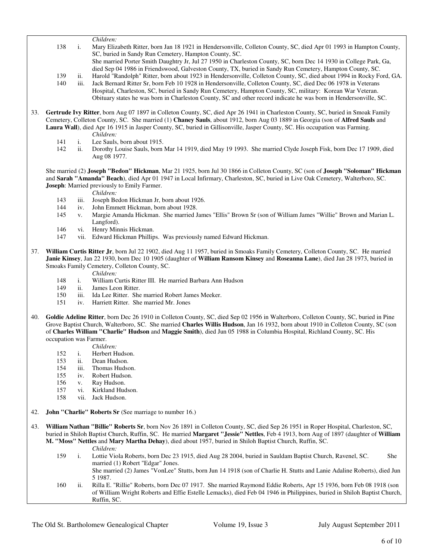*Children:* 138 i. Mary Elizabeth Ritter, born Jan 18 1921 in Hendersonville, Colleton County, SC, died Apr 01 1993 in Hampton County, SC, buried in Sandy Run Cemetery, Hampton County, SC. She married Porter Smith Daughtry Jr, Jul 27 1950 in Charleston County, SC, born Dec 14 1930 in College Park, Ga, died Sep 04 1986 in Friendswood, Galveston County, TX, buried in Sandy Run Cemetery, Hampton County, SC. 139 ii. Harold "Randolph" Ritter, born about 1923 in Hendersonville, Colleton County, SC, died about 1994 in Rocky Ford, GA. 140 iii. Jack Bernard Ritter Sr, born Feb 10 1928 in Hendersonville, Colleton County, SC, died Dec 06 1978 in Veterans Hospital, Charleston, SC, buried in Sandy Run Cemetery, Hampton County, SC, military: Korean War Veteran. Obituary states he was born in Charleston County, SC and other record indicate he was born in Hendersonville, SC.

- 33. **Gertrude Ivy Ritter**, born Aug 07 1897 in Colleton County, SC, died Apr 26 1941 in Charleston County, SC, buried in Smoak Family Cemetery, Colleton County, SC. She married (1) **Chaney Sauls**, about 1912, born Aug 03 1889 in Georgia (son of **Alfred Sauls** and **Laura Wall**), died Apr 16 1915 in Jasper County, SC, buried in Gillisonville, Jasper County, SC. His occupation was Farming. *Children:*
	- 141 i. Lee Sauls, born about 1915.
	- 142 ii. Dorothy Louise Sauls, born Mar 14 1919, died May 19 1993. She married Clyde Joseph Fisk, born Dec 17 1909, died Aug 08 1977.

 She married (2) **Joseph "Bedon" Hickman**, Mar 21 1925, born Jul 30 1866 in Colleton County, SC (son of **Joseph "Soloman" Hickman** and **Sarah "Amanda" Beach**), died Apr 01 1947 in Local Infirmary, Charleston, SC, buried in Live Oak Cemetery, Walterboro, SC. **Joseph**: Married previously to Emily Farmer.

- *Children:*<br>143 iii. Joseph Be 143 iii. Joseph Bedon Hickman Jr, born about 1926.<br>144 iv. John Emmett Hickman, born about 1928.
- John Emmett Hickman, born about 1928.
- 145 v. Margie Amanda Hickman. She married James "Ellis" Brown Sr (son of William James "Willie" Brown and Marian L. Langford).
- 146 vi. Henry Minnis Hickman.<br>147 vii. Edward Hickman Phillin
- vii. Edward Hickman Phillips. Was previously named Edward Hickman.
- 37. **William Curtis Ritter Jr**, born Jul 22 1902, died Aug 11 1957, buried in Smoaks Family Cemetery, Colleton County, SC. He married **Janie Kinsey**, Jan 22 1930, born Dec 10 1905 (daughter of **William Ransom Kinsey** and **Roseanna Lane**), died Jan 28 1973, buried in Smoaks Family Cemetery, Colleton County, SC.
	- *Children:*
	- 148 i. William Curtis Ritter III. He married Barbara Ann Hudson<br>149 ii. James Leon Ritter.
	- ii. James Leon Ritter.
	- 150 iii. Ida Lee Ritter. She married Robert James Meeker.
	- 151 iv. Harriett Ritter. She married Mr. Jones
- 40. **Goldie Adeline Ritter**, born Dec 26 1910 in Colleton County, SC, died Sep 02 1956 in Walterboro, Colleton County, SC, buried in Pine Grove Baptist Church, Walterboro, SC. She married **Charles Willis Hudson**, Jan 16 1932, born about 1910 in Colleton County, SC (son of **Charles William "Charlie" Hudson** and **Maggie Smith**), died Jun 05 1988 in Columbia Hospital, Richland County, SC. His occupation was Farmer.
	- *Children:*
	- 152 i. Herbert Hudson.
	- 153 ii. Dean Hudson.
	- 154 iii. Thomas Hudson.
	- 155 iv. Robert Hudson.
	- 156 v. Ray Hudson.
	- 157 vi. Kirkland Hudson.
	- 158 vii. Jack Hudson.
- 42. **John "Charlie" Roberts Sr** (See marriage to number 16.)
- 43. **William Nathan "Billie" Roberts Sr**, born Nov 26 1891 in Colleton County, SC, died Sep 26 1951 in Roper Hospital, Charleston, SC, buried in Shiloh Baptist Church, Ruffin, SC. He married **Margaret "Jessie" Nettles**, Feb 4 1913, born Aug of 1897 (daughter of **William M. "Moss" Nettles** and **Mary Martha Dehay**), died about 1957, buried in Shiloh Baptist Church, Ruffin, SC.
	- *Children:*
	- 159 i. Lottie Viola Roberts, born Dec 23 1915, died Aug 28 2004, buried in Sauldam Baptist Church, Ravenel, SC. She married (1) Robert "Edgar" Jones. She married (2) James "VonLee" Stutts, born Jun 14 1918 (son of Charlie H. Stutts and Lanie Adaline Roberts), died Jun
	- 5 1987. 160 ii. Rilla E. "Rillie" Roberts, born Dec 07 1917. She married Raymond Eddie Roberts, Apr 15 1936, born Feb 08 1918 (son of William Wright Roberts and Effie Estelle Lemacks), died Feb 04 1946 in Philippines, buried in Shiloh Baptist Church,
- The Old St. Bartholomew Genealogical Chapter Volume 19, Issue 3 July August September 2011

Ruffin, SC.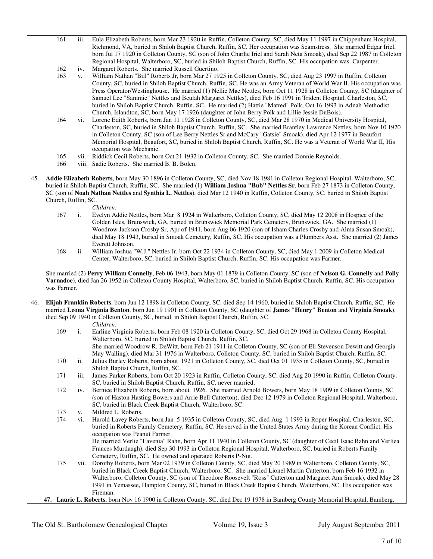- 161 iii. Eula Elizabeth Roberts, born Mar 23 1920 in Ruffin, Colleton County, SC, died May 11 1997 in Chippenham Hospital, Richmond, VA, buried in Shiloh Baptist Church, Ruffin, SC. Her occupation was Seamstress. She married Edgar Iriel, born Jul 17 1920 in Colleton County, SC (son of John Charlie Iriel and Sarah Neta Smoak), died Sep 22 1987 in Colleton Regional Hospital, Walterboro, SC, buried in Shiloh Baptist Church, Ruffin, SC. His occupation was Carpenter.
- 162 iv. Margaret Roberts. She married Russell Guertino.
- 163 v. William Nathan "Bill" Roberts Jr, born Mar 27 1925 in Colleton County, SC, died Aug 23 1997 in Ruffin, Colleton County, SC, buried in Shiloh Baptist Church, Ruffin, SC. He was an Army Veteran of World War II. His occupation was Press Operator/Westinghouse. He married (1) Nellie Mae Nettles, born Oct 11 1928 in Colleton County, SC (daughter of Samuel Lee "Sammie" Nettles and Beulah Margaret Nettles), died Feb 16 1991 in Trident Hospital, Charleston, SC, buried in Shiloh Baptist Church, Ruffin, SC. He married (2) Hattie "Matred" Polk, Oct 16 1993 in Adnah Methodist Church, Islandton, SC, born May 17 1926 (daughter of John Berry Polk and Lillie Jessie DuBois).
- 164 vi. Lorene Edith Roberts, born Jan 11 1928 in Colleton County, SC, died Mar 28 1970 in Medical University Hospital, Charleston, SC, buried in Shiloh Baptist Church, Ruffin, SC. She married Brantley Lawrence Nettles, born Nov 10 1920 in Colleton County, SC (son of Lee Berry Nettles Sr and McCary "Gatsie" Smoak), died Apr 12 1977 in Beaufort Memorial Hospital, Beaufort, SC, buried in Shiloh Baptist Church, Ruffin, SC. He was a Veteran of World War II, His occupation was Mechanic.
- 165 vii. Riddick Cecil Roberts, born Oct 21 1932 in Colleton County, SC. She married Donnie Reynolds.
- 166 viii. Sadie Roberts. She married B. B. Bolen.
- 45. **Addie Elizabeth Roberts**, born May 30 1896 in Colleton County, SC, died Nov 18 1981 in Colleton Regional Hospital, Walterboro, SC, buried in Shiloh Baptist Church, Ruffin, SC. She married (1) **William Joshua "Bub" Nettles Sr**, born Feb 27 1873 in Colleton County, SC (son of **Noah Nathan Nettles** and **Synthia L. Nettles**), died Mar 12 1940 in Ruffin, Colleton County, SC, buried in Shiloh Baptist Church, Ruffin, SC.

*Children:*

- 167 i. Evelyn Addie Nettles, born Mar 8 1924 in Walterboro, Colleton County, SC, died May 12 2008 in Hospice of the Golden Isles, Brunswick, GA, buried in Brunswick Memorial Park Cemetery, Brunswick, GA. She married (1) Woodrow Jackson Crosby Sr, Apr of 1941, born Aug 06 1920 (son of Isham Charles Crosby and Alma Susan Smoak), died May 18 1943, buried in Smoak Cemetery, Ruffin, SC. His occupation was a Plumbers Asst. She married (2) James Everett Johnson.
- 168 ii. William Joshua "W.J." Nettles Jr, born Oct 22 1934 in Colleton County, SC, died May 1 2009 in Colleton Medical Center, Walterboro, SC, buried in Shiloh Baptist Church, Ruffin, SC. His occupation was Farmer.

 She married (2) **Perry William Connelly**, Feb 06 1943, born May 01 1879 in Colleton County, SC (son of **Nelson G. Connelly** and **Polly Varnadoe**), died Jan 26 1952 in Colleton County Hospital, Walterboro, SC, buried in Shiloh Baptist Church, Ruffin, SC. His occupation was Farmer.

46. **Elijah Franklin Roberts**, born Jun 12 1898 in Colleton County, SC, died Sep 14 1960, buried in Shiloh Baptist Church, Ruffin, SC. He married **Leona Virginia Benton**, born Jun 19 1901 in Colleton County, SC (daughter of **James "Henry" Benton** and **Virginia Smoak**), died Sep 09 1940 in Colleton County, SC, buried in Shiloh Baptist Church, Ruffin, SC.

*Children:*

 169 i. Earline Virginia Roberts, born Feb 08 1920 in Colleton County, SC, died Oct 29 1968 in Colleton County Hospital, Walterboro, SC, buried in Shiloh Baptist Church, Ruffin, SC. She married Woodrow R. DeWitt, born Feb 21 1911 in Colleton County, SC (son of Eli Stevenson Dewitt and Georgia May Walling), died Mar 31 1976 in Walterboro, Colleton County, SC, buried in Shiloh Baptist Church, Ruffin, SC. 170 ii. Julius Burley Roberts, born about 1921 in Colleton County, SC, died Oct 01 1935 in Colleton County, SC, buried in Shiloh Baptist Church, Ruffin, SC. 171 iii. James Parker Roberts, born Oct 20 1923 in Ruffin, Colleton County, SC, died Aug 20 1990 in Ruffin, Colleton County, SC, buried in Shiloh Baptist Church, Ruffin, SC, never married. 172 iv. Bernice Elizabeth Roberts, born about 1926. She married Arnold Bowers, born May 18 1909 in Colleton County, SC (son of Haston Hasting Bowers and Arrie Bell Catterton), died Dec 12 1979 in Colleton Regional Hospital, Walterboro, SC, buried in Black Creek Baptist Church, Walterboro, SC. 173 v. Mildred L. Roberts.<br>174 vi. Harold Lavev Rober vi. Harold Lavey Roberts, born Jan 5 1935 in Colleton County, SC, died Aug 1 1993 in Roper Hospital, Charleston, SC, buried in Roberts Family Cemetery, Ruffin, SC. He served in the United States Army during the Korean Conflict. His occupation was Peanut Farmer. He married Verlie "Lavenia" Rahn, born Apr 11 1940 in Colleton County, SC (daughter of Cecil Isaac Rahn and Verliea Frances Murdaugh), died Sep 30 1993 in Colleton Regional Hospital, Walterboro, SC, buried in Roberts Family Cemetery, Ruffin, SC. He owned and operated Roberts P-Nut. 175 vii. Dorothy Roberts, born Mar 02 1939 in Colleton County, SC, died May 20 1989 in Walterboro, Colleton County, SC, buried in Black Creek Baptist Church, Walterboro, SC. She married Lionel Martin Catterton, born Feb 16 1932 in Walterboro, Colleton County, SC (son of Theodore Roosevelt "Ross" Catterton and Margaret Ann Smoak), died May 28 1991 in Yemassee, Hampton County, SC, buried in Black Creek Baptist Church, Walterboro, SC. His occupation was Fireman. **47. Laurie L. Roberts**, born Nov 16 1900 in Colleton County, SC, died Dec 19 1978 in Bamberg County Memorial Hospital, Bamberg,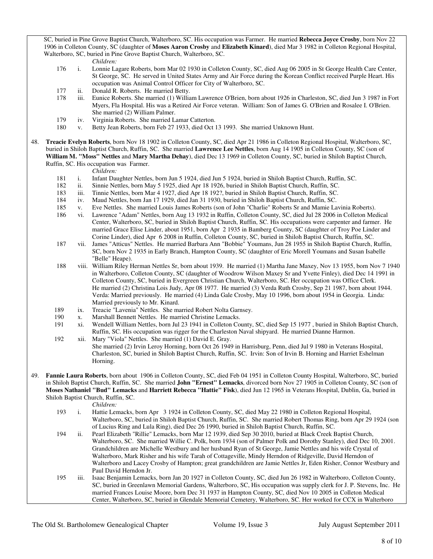SC, buried in Pine Grove Baptist Church, Walterboro, SC. His occupation was Farmer. He married **Rebecca Joyce Crosby**, born Nov 22 1906 in Colleton County, SC (daughter of **Moses Aaron Crosby** and **Elizabeth Kinard**), died Mar 3 1982 in Colleton Regional Hospital, Walterboro, SC, buried in Pine Grove Baptist Church, Walterboro, SC.

- *Children:* 176 i. Lonnie Lagare Roberts, born Mar 02 1930 in Colleton County, SC, died Aug 06 2005 in St George Health Care Center, St George, SC. He served in United States Army and Air Force during the Korean Conflict received Purple Heart. His occupation was Animal Control Officer for City of Walterboro, SC.
- 177 ii. Donald R. Roberts. He married Betty.
- 178 iii. Eunice Roberts. She married (1) William Lawrence O'Brien, born about 1926 in Charleston, SC, died Jun 3 1987 in Fort Myers, Fla Hospital. His was a Retired Air Force veteran. William: Son of James G. O'Brien and Rosalee I. O'Brien. She married (2) William Palmer.<br>179 iv. Virginia Roberts. She married La
- 179 iv. Virginia Roberts. She married Lamar Catterton.<br>180 v. Betty Jean Roberts. born Feb 27 1933. died Oct 1
- v. Betty Jean Roberts, born Feb 27 1933, died Oct 13 1993. She married Unknown Hunt.
- 48. **Treacie Evelyn Roberts**, born Nov 18 1902 in Colleton County, SC, died Apr 21 1986 in Colleton Regional Hospital, Walterboro, SC, buried in Shiloh Baptist Church, Ruffin, SC. She married **Lawrence Lee Nettles**, born Aug 14 1905 in Colleton County, SC (son of **William M. "Moss" Nettles** and **Mary Martha Dehay**), died Dec 13 1969 in Colleton County, SC, buried in Shiloh Baptist Church, Ruffin, SC. His occupation was Farmer.

*Children:*

- 181 i. Infant Daughter Nettles, born Jun 5 1924, died Jun 5 1924, buried in Shiloh Baptist Church, Ruffin, SC.
- 182 ii. Sinnie Nettles, born May 5 1925, died Apr 18 1926, buried in Shiloh Baptist Church, Ruffin, SC.
- 183 iii. Tinnie Nettles, born Mar 4 1927, died Apr 18 192?, buried in Shiloh Baptist Church, Ruffin, SC.
- 184 iv. Maud Nettles, born Jan 17 1929, died Jan 31 1930, buried in Shiloh Baptist Church, Ruffin, SC.<br>185 v. Eve Nettles. She married Louis James Roberts (son of John "Charlie" Roberts Sr and Mamie La
- v. Eve Nettles. She married Louis James Roberts (son of John "Charlie" Roberts Sr and Mamie Lavinia Roberts).
- 186 vi. Lawrence "Adam" Nettles, born Aug 13 1932 in Ruffin, Colleton County, SC, died Jul 28 2006 in Colleton Medical Center, Walterboro, SC, buried in Shiloh Baptist Church, Ruffin, SC. His occupations were carpenter and farmer. He married Grace Elise Linder, about 1951, born Apr 2 1935 in Bamberg County, SC (daughter of Troy Poe Linder and Corine Linder), died Apr 6 2008 in Ruffin, Colleton County, SC, buried in Shiloh Baptist Church, Ruffin, SC.
- 187 vii. James "Atticus" Nettles. He married Barbara Ann "Bobbie" Youmans, Jun 28 1955 in Shiloh Baptist Church, Ruffin, SC, born Nov 2 1935 in Early Branch, Hampton County, SC (daughter of Eric Morell Youmans and Susan Isabelle "Belle" Heape).
- 188 viii. William Riley Herman Nettles Sr, born about 1939. He married (1) Martha Jane Maxey, Nov 13 1955, born Nov 7 1940 in Walterboro, Colleton County, SC (daughter of Woodrow Wilson Maxey Sr and Yvette Finley), died Dec 14 1991 in Colleton County, SC, buried in Evergreen Christian Church, Walterboro, SC. Her occupation was Office Clerk. He married (2) Christina Lois Judy, Apr 08 1977. He married (3) Verda Ruth Crosby, Sep 21 1987, born about 1944. Verda: Married previously. He married (4) Linda Gale Crosby, May 10 1996, born about 1954 in Georgia. Linda: Married previously to Mr. Kinard.
- 189 ix. Treacie "Lavenia" Nettles. She married Robert Nolta Garnsey.
- 190 x. Marshall Bennett Nettles. He married Christine Lemacks.
- 191 xi. Wendell William Nettles, born Jul 23 1941 in Colleton County, SC, died Sep 15 1977 , buried in Shiloh Baptist Church, Ruffin, SC. His occupation was rigger for the Charleston Naval shipyard. He married Dianne Harmon.
- 192 xii. Mary "Viola" Nettles. She married (1) David E. Gray. She married (2) Irvin Leroy Horning, born Oct 26 1949 in Harrisburg, Penn, died Jul 9 1980 in Veterans Hospital, Charleston, SC, buried in Shiloh Baptist Church, Ruffin, SC. Irvin: Son of Irvin B. Horning and Harriet Eshelman Horning.
- 49. **Fannie Laura Roberts**, born about 1906 in Colleton County, SC, died Feb 04 1951 in Colleton County Hospital, Walterboro, SC, buried in Shiloh Baptist Church, Ruffin, SC. She married **John "Ernest" Lemacks**, divorced born Nov 27 1905 in Colleton County, SC (son of **Moses Nathaniel "Bud" Lemacks** and **Harriett Rebecca "Hattie" Fisk**), died Jun 12 1965 in Veterans Hospital, Dublin, Ga, buried in Shiloh Baptist Church, Ruffin, SC.

- *Children:*<br>193 *i.* Hattie Ler i. Hattie Lemacks, born Apr 3 1924 in Colleton County, SC, died May 22 1980 in Colleton Regional Hospital, Walterboro, SC, buried in Shiloh Baptist Church, Ruffin, SC. She married Robert Thomas Ring, born Apr 29 1924 (son of Lucius Ring and Lula Ring), died Dec 26 1990, buried in Shiloh Baptist Church, Ruffin, SC.
- 194 ii. Pearl Elizabeth "Rillie" Lemacks, born Mar 12 1939, died Sep 30 2010, buried at Black Creek Baptist Church, Walterboro, SC. She married Willie C. Polk, born 1934 (son of Palmer Polk and Dorothy Stanley), died Dec 10, 2001. Grandchildren are Michelle Westbury and her husband Ryan of St George, Jamie Nettles and his wife Crystal of Walterboro, Mark Risher and his wife Tarah of Cottageville, Mindy Herndon of Ridgeville, David Herndon of Walterboro and Lacey Crosby of Hampton; great grandchildren are Jamie Nettles Jr, Eden Risher, Connor Westbury and Paul David Herndon Jr.
- 195 iii. Isaac Benjamin Lemacks, born Jan 20 1927 in Colleton County, SC, died Jun 26 1982 in Walterboro, Colleton County, SC, buried in Greenlawn Memorial Gardens, Walterboro, SC, His occupation was supply clerk for J. P. Stevens, Inc. He married Frances Louise Moore, born Dec 31 1937 in Hampton County, SC, died Nov 10 2005 in Colleton Medical Center, Walterboro, SC, buried in Glendale Memorial Cemetery, Walterboro, SC. Her worked for CCX in Walterboro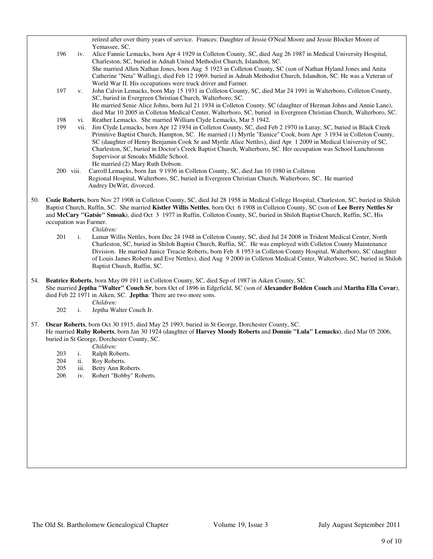retired after over thirty years of service. Frances: Daughter of Jessie O'Neal Moore and Jessie Blocker Moore of Yemassee, SC.

- 196 iv. Alice Fannie Lemacks, born Apr 4 1929 in Colleton County, SC, died Aug 26 1987 in Medical University Hospital, Charleston, SC, buried in Adnah United Methodist Church, Islandton, SC. She married Allen Nathan Jones, born Aug 5 1923 in Colleton County, SC (son of Nathan Hyland Jones and Anita Catherine "Neta" Walling), died Feb 12 1969. buried in Adnah Methodist Church, Islandton, SC. He was a Veteran of World War II. His occupations were truck driver and Farmer.
- 197 v. John Calvin Lemacks, born May 15 1931 in Colleton County, SC, died Mar 24 1991 in Walterboro, Colleton County, SC, buried in Evergreen Christian Church, Walterboro, SC. He married Senie Alice Johns, born Jul 21 1934 in Colleton County, SC (daughter of Herman Johns and Annie Lane), died Mar 10 2005 in Colleton Medical Center, Walterboro, SC, buried in Evergreen Christian Church, Walterboro, SC.
- 198 vi. Reather Lemacks. She married William Clyde Lemacks, Mar 5 1942.<br>199 vii. Jim Clyde Lemacks, born Apr 12 1934 in Colleton County, SC, died F
- vii. Jim Clyde Lemacks, born Apr 12 1934 in Colleton County, SC, died Feb 2 1970 in Luray, SC, buried in Black Creek Primitive Baptist Church, Hampton, SC. He married (1) Myrtle "Eunice" Cook, born Apr 3 1934 in Colleton County, SC (daughter of Henry Benjamin Cook Sr and Myrtle Alice Nettles), died Apr 1 2009 in Medical University of SC, Charleston, SC, buried in Doctor's Creek Baptist Church, Walterboro, SC. Her occupation was School Lunchroom Supervisor at Smoaks Middle School. He married (2) Mary Ruth Dobson.
- 200 viii. Carroll Lemacks, born Jan 9 1936 in Colleton County, SC, died Jan 10 1980 in Colleton Regional Hospital, Walterboro, SC, buried in Evergreen Christian Church, Walterboro, SC.. He married Audrey DeWitt, divorced.
- 50. **Cozie Roberts**, born Nov 27 1908 in Colleton County, SC, died Jul 28 1958 in Medical College Hospital, Charleston, SC, buried in Shiloh Baptist Church, Ruffin, SC. She married **Kistler Willis Nettles**, born Oct 6 1908 in Colleton County, SC (son of **Lee Berry Nettles Sr** and **McCary "Gatsie" Smoak**), died Oct 3 1977 in Ruffin, Colleton County, SC, buried in Shiloh Baptist Church, Ruffin, SC, His occupation was Farmer.
	-
	- *Children:*<br>201 i. Lamar Wi 1. Lamar Willis Nettles, born Dec 24 1948 in Colleton County, SC, died Jul 24 2008 in Trident Medical Center, North Charleston, SC, buried in Shiloh Baptist Church, Ruffin, SC. He was employed with Colleton County Maintenance Division. He married Janice Treacie Roberts, born Feb 8 1953 in Colleton County Hospital, Walterboro, SC (daughter of Louis James Roberts and Eve Nettles), died Aug 9 2000 in Colleton Medical Center, Walterboro, SC, buried in Shiloh Baptist Church, Ruffin, SC.
- 54. **Beatrice Roberts**, born May 09 1911 in Colleton County, SC, died Sep of 1987 in Aiken County, SC. She married **Jeptha "Walter" Couch Sr**, born Oct of 1896 in Edgefield, SC (son of **Alexander Bolden Couch** and **Martha Ella Covar**), died Feb 22 1971 in Aiken, SC. **Jeptha**: There are two more sons.
	- *Children:*<br>202 i. Jeptha Wa Jeptha Walter Couch Jr.

57. **Oscar Roberts**, born Oct 30 1915, died May 25 1993, buried in St George, Dorchester County, SC. He married **Ruby Roberts**, born Jan 30 1924 (daughter of **Harvey Moody Roberts** and **Donnie "Lula" Lemacks**), died Mar 05 2006, buried in St George, Dorchester County, SC.

*Children:*

- 203 i. Ralph Roberts.
- 204 ii. Roy Roberts.
- 205 iii. Betty Ann Roberts.
- 206 iv. Robert "Bobby" Roberts.